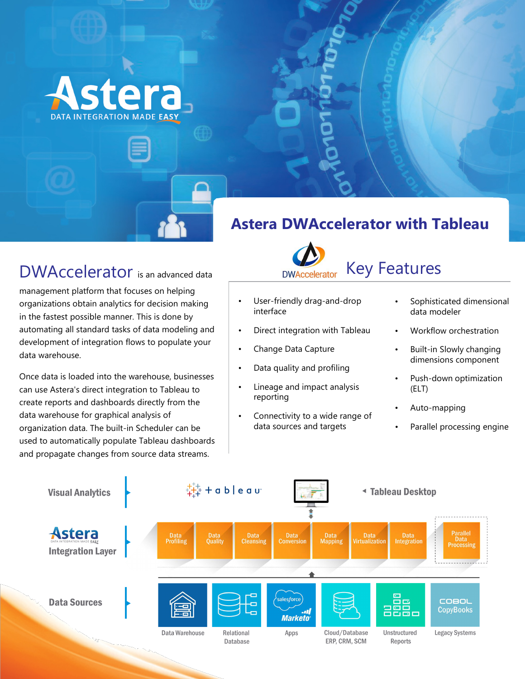

## DWAccelerator is an advanced data

management platform that focuses on helping organizations obtain analytics for decision making in the fastest possible manner. This is done by automating all standard tasks of data modeling and development of integration flows to populate your data warehouse.

Once data is loaded into the warehouse, businesses can use Astera's direct integration to Tableau to create reports and dashboards directly from the data warehouse for graphical analysis of organization data. The built-in Scheduler can be used to automatically populate Tableau dashboards and propagate changes from source data streams.

### **Astera DWAccelerator with Tableau**



## Key Features

- User-friendly drag-and-drop interface
- Direct integration with Tableau
- Change Data Capture
- Data quality and profiling
- Lineage and impact analysis reporting
- Connectivity to a wide range of data sources and targets
- Sophisticated dimensional data modeler
- Workflow orchestration
- Built-in Slowly changing dimensions component
- Push-down optimization (ELT)
- Auto-mapping
- Parallel processing engine